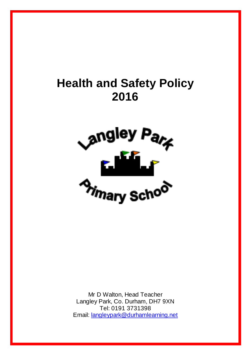

Mr D Walton, Head Teacher Langley Park, Co. Durham, DH7 9XN Tel: 0191 3731398 Email: [langleypark@durhamlearning.net](mailto:langleypark@durhamlearning.net)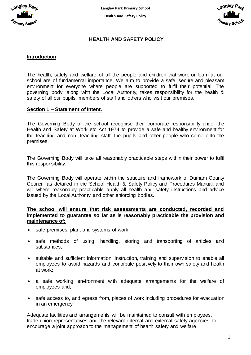

**Langley Park Primary School**

**Health and Safety Policy**



## **HEALTH AND SAFETY POLICY**

#### **Introduction**

The health, safety and welfare of all the people and children that work or learn at our school are of fundamental importance. We aim to provide a safe, secure and pleasant environment for everyone where people are supported to fulfil their potential. The governing body, along with the Local Authority, takes responsibility for the health & safety of all our pupils, members of staff and others who visit our premises.

#### **Section 1 – Statement of Intent.**

The Governing Body of the school recognise their corporate responsibility under the Health and Safety at Work etc Act 1974 to provide a safe and healthy environment for the teaching and non- teaching staff, the pupils and other people who come onto the premises.

The Governing Body will take all reasonably practicable steps within their power to fulfil this responsibility.

The Governing Body will operate within the structure and framework of Durham County Council, as detailed in the School Health & Safety Policy and Procedures Manual, and will where reasonably practicable apply all health and safety instructions and advice issued by the Local Authority and other enforcing bodies.

#### **The school will ensure that risk assessments are conducted, recorded and implemented to guarantee so far as is reasonably practicable the provision and maintenance of:**

- safe premises, plant and systems of work;
- safe methods of using, handling, storing and transporting of articles and substances;
- suitable and sufficient information, instruction, training and supervision to enable all employees to avoid hazards and contribute positively to their own safety and health at work;
- a safe working environment with adequate arrangements for the welfare of employees and;
- safe access to, and egress from, places of work including procedures for evacuation in an emergency.

Adequate facilities and arrangements will be maintained to consult with employees, trade union representatives and the relevant internal and external safety agencies, to encourage a joint approach to the management of health safety and welfare.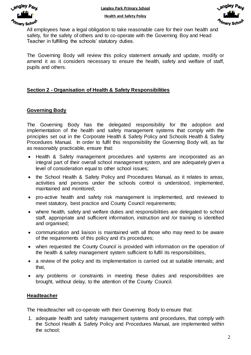



All employees have a legal obligation to take reasonable care for their own health and safety, for the safety of others and to co-operate with the Governing Boy and Head Teacher in fulfilling the schools' statutory duties.

The Governing Body will review this policy statement annually and update, modify or amend it as it considers necessary to ensure the health, safety and welfare of staff, pupils and others.

## **Section 2 - Organisation of Health & Safety Responsibilities**

#### **Governing Body**

The Governing Body has the delegated responsibility for the adoption and implementation of the health and safety management systems that comply with the principles set out in the Corporate Health & Safety Policy and Schools Health & Safety Procedures Manual. In order to fulfil this responsibility the Governing Body will, as far as reasonably practicable, ensure that:

- Health & Safety management procedures and systems are incorporated as an integral part of their overall school management system, and are adequately given a level of consideration equal to other school issues;
- the School Health & Safety Policy and Procedures Manual, as it relates to areas, activities and persons under the schools control is understood, implemented, maintained and monitored;
- pro-active health and safety risk management is implemented, and reviewed to meet statutory, best practice and County Council requirements;
- where health, safety and welfare duties and responsibilities are delegated to school staff, appropriate and sufficient information, instruction and /or training is identified and organised;
- communication and liaison is maintained with all those who may need to be aware of the requirements of this policy and it's procedures;
- when requested the County Council is provided with information on the operation of the health & safety management system sufficient to fulfil its responsibilities,
- a review of the policy and its implementation is carried out at suitable intervals; and that,
- any problems or constraints in meeting these duties and responsibilities are brought, without delay, to the attention of the County Council.

#### **Headteacher**

The Headteacher will co-operate with their Governing Body to ensure that:

1. adequate health and safety management systems and procedures, that comply with the School Health & Safety Policy and Procedures Manual, are implemented within the school;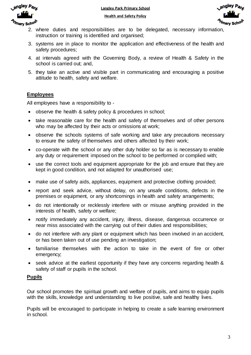

- 2. where duties and responsibilities are to be delegated, necessary information, instruction or training is identified and organised;
- 3. systems are in place to monitor the application and effectiveness of the health and safety procedures;
- 4. at intervals agreed with the Governing Body, a review of Health & Safety in the school is carried out; and,
- 5. they take an active and visible part in communicating and encouraging a positive attitude to health, safety and welfare.

# **Employees**

All employees have a responsibility to -

- observe the health & safety policy & procedures in school;
- take reasonable care for the health and safety of themselves and of other persons who may be affected by their acts or omissions at work;
- observe the schools systems of safe working and take any precautions necessary to ensure the safety of themselves and others affected by their work;
- co-operate with the school or any other duty holder so far as is necessary to enable any duty or requirement imposed on the school to be performed or complied with;
- use the correct tools and equipment appropriate for the job and ensure that they are kept in good condition, and not adapted for unauthorised use;
- make use of safety aids, appliances, equipment and protective clothing provided;
- report and seek advice, without delay, on any unsafe conditions, defects in the premises or equipment, or any shortcomings in health and safety arrangements;
- do not intentionally or recklessly interfere with or misuse anything provided in the interests of health, safety or welfare;
- notify immediately any accident, injury, illness, disease, dangerous occurrence or near miss associated with the carrying out of their duties and responsibilities;
- do not interfere with any plant or equipment which has been involved in an accident, or has been taken out of use pending an investigation;
- familiarise themselves with the action to take in the event of fire or other emergency;
- seek advice at the earliest opportunity if they have any concerns regarding health & safety of staff or pupils in the school.

## **Pupils**

Our school promotes the spiritual growth and welfare of pupils, and aims to equip pupils with the skills, knowledge and understanding to live positive, safe and healthy lives.

Pupils will be encouraged to participate in helping to create a safe learning environment in school.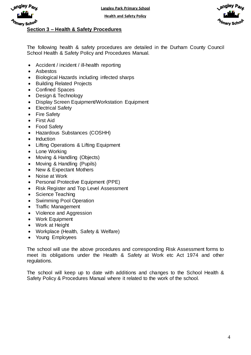**Langley Park Primary School**



**Health and Safety Policy**



#### **Section 3 – Health & Safety Procedures**

The following health & safety procedures are detailed in the Durham County Council School Health & Safety Policy and Procedures Manual.

- Accident / incident / ill-health reporting
- Asbestos
- Biological Hazards including infected sharps
- Building Related Projects
- Confined Spaces
- Design & Technology
- Display Screen Equipment/Workstation Equipment
- Electrical Safety
- Fire Safety
- First Aid
- Food Safety
- Hazardous Substances (COSHH)
- Induction
- Lifting Operations & Lifting Equipment
- Lone Working
- Moving & Handling (Objects)
- Moving & Handling (Pupils)
- New & Expectant Mothers
- Noise at Work
- Personal Protective Equipment (PPE)
- Risk Register and Top Level Assessment
- Science Teaching
- Swimming Pool Operation
- Traffic Management
- Violence and Aggression
- Work Equipment
- Work at Height
- Workplace (Health, Safety & Welfare)
- Young Employees

The school will use the above procedures and corresponding Risk Assessment forms to meet its obligations under the Health & Safety at Work etc Act 1974 and other regulations.

The school will keep up to date with additions and changes to the School Health & Safety Policy & Procedures Manual where it related to the work of the school.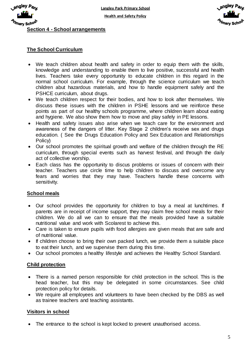**Langley Park Primary School**

**Health and Safety Policy**



#### **Section 4 - School arrangements**

## **The School Curriculum**

<sub>a</sub>ngley P<sub>a</sub>,

- We teach children about health and safety in order to equip them with the skills, knowledge and understanding to enable them to live positive, successful and health lives. Teachers take every opportunity to educate children in this regard in the normal school curriculum. For example, through the science curriculum we teach children abut hazardous materials, and how to handle equipment safely and the PSHCE curriculum, about drugs.
- We teach children respect for their bodies, and how to look after themselves. We discuss these issues with the children in PSHE lessons and we reinforce these points as part of our healthy schools programme, where children learn about eating and hygiene. We also show them how to move and play safely in PE lessons.
- Health and safety issues also arise when we teach care for the environment and awareness of the dangers of litter. Key Stage 2 children's receive sex and drugs education. ( See the Drugs Education Policy and Sex Education and Relationships Policy)
- Our school promotes the spiritual growth and welfare of the children through the RE curriculum, through special events such as harvest festival, and through the daily act of collective worship.
- Each class has the opportunity to discus problems or issues of concern with their teacher. Teachers use circle time to help children to discuss and overcome any fears and worries that they may have. Teachers handle these concerns with sensitivity.

## **School meals**

- Our school provides the opportunity for children to buy a meal at lunchtimes. If parents are in receipt of income support, they may claim free school meals for their children. We do all we can to ensure that the meals provided have a suitable nutritional value and work with Scolarest to achieve this.
- Care is taken to ensure pupils with food allergies are given meals that are safe and of nutritional value.
- If children choose to bring their own packed lunch, we provide them a suitable place to eat their lunch, and we supervise them during this time.
- Our school promotes a healthy lifestyle and achieves the Healthy School Standard.

## **Child protection**

- There is a named person responsible for child protection in the school. This is the head teacher, but this may be delegated in some circumstances. See child protection policy for details.
- We require all employees and volunteers to have been checked by the DBS as well as trainee teachers and teaching assistants.

## **Visitors in school**

• The entrance to the school is kept locked to prevent unauthorised access.